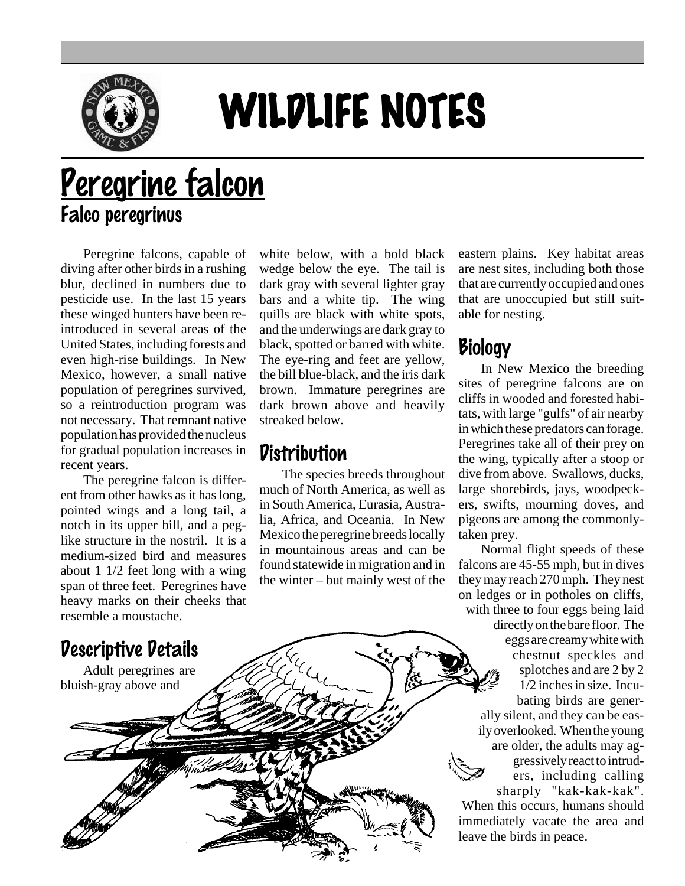

# WILDLIFE NOTES

# Peregrine falcon Falco peregrinus

Peregrine falcons, capable of diving after other birds in a rushing blur, declined in numbers due to pesticide use. In the last 15 years these winged hunters have been reintroduced in several areas of the United States, including forests and even high-rise buildings. In New Mexico, however, a small native population of peregrines survived, so a reintroduction program was not necessary. That remnant native population has provided the nucleus for gradual population increases in recent years.

The peregrine falcon is different from other hawks as it has long, pointed wings and a long tail, a notch in its upper bill, and a peglike structure in the nostril. It is a medium-sized bird and measures about 1 1/2 feet long with a wing span of three feet. Peregrines have heavy marks on their cheeks that resemble a moustache.

white below, with a bold black wedge below the eye. The tail is dark gray with several lighter gray bars and a white tip. The wing quills are black with white spots, and the underwings are dark gray to black, spotted or barred with white. The eye-ring and feet are yellow, the bill blue-black, and the iris dark brown. Immature peregrines are dark brown above and heavily streaked below.

### **Distribution**

The species breeds throughout much of North America, as well as in South America, Eurasia, Australia, Africa, and Oceania. In New Mexico the peregrine breeds locally in mountainous areas and can be found statewide in migration and in the winter – but mainly west of the eastern plains. Key habitat areas are nest sites, including both those that are currently occupied and ones that are unoccupied but still suitable for nesting.

# Biology

In New Mexico the breeding sites of peregrine falcons are on cliffs in wooded and forested habitats, with large "gulfs" of air nearby in which these predators can forage. Peregrines take all of their prey on the wing, typically after a stoop or dive from above. Swallows, ducks, large shorebirds, jays, woodpeckers, swifts, mourning doves, and pigeons are among the commonlytaken prey.

Normal flight speeds of these falcons are 45-55 mph, but in dives they may reach 270 mph. They nest on ledges or in potholes on cliffs, with three to four eggs being laid directly on the bare floor. The eggs are creamy white with chestnut speckles and splotches and are 2 by 2 1/2 inches in size. Incubating birds are generally silent, and they can be easily overlooked. When the young are older, the adults may aggressively react to intruders, including calling sharply "kak-kak-kak". When this occurs, humans should immediately vacate the area and leave the birds in peace.